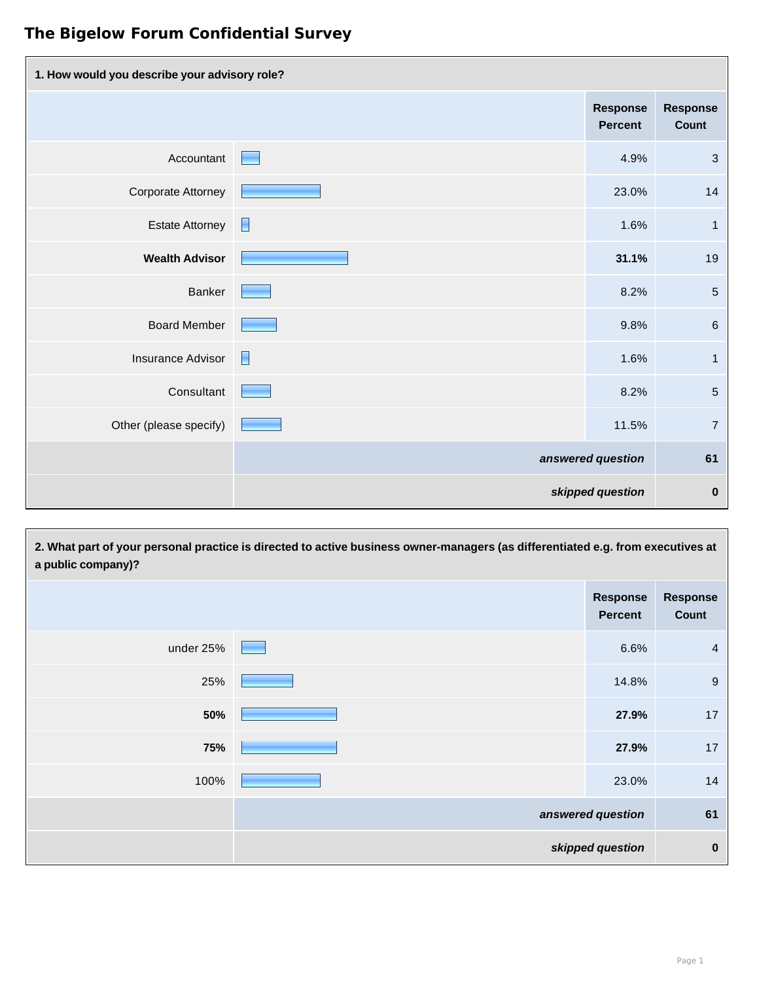| 1. How would you describe your advisory role? |   |                                   |                                 |
|-----------------------------------------------|---|-----------------------------------|---------------------------------|
|                                               |   | <b>Response</b><br><b>Percent</b> | <b>Response</b><br><b>Count</b> |
| Accountant                                    | E | 4.9%                              | $\mathbf{3}$                    |
| <b>Corporate Attorney</b>                     |   | 23.0%                             | 14                              |
| <b>Estate Attorney</b>                        | E | 1.6%                              | $\mathbf{1}$                    |
| <b>Wealth Advisor</b>                         |   | 31.1%                             | 19                              |
| <b>Banker</b>                                 |   | 8.2%                              | $\overline{5}$                  |
| <b>Board Member</b>                           |   | 9.8%                              | $\,6\,$                         |
| <b>Insurance Advisor</b>                      | E | 1.6%                              | $\mathbf{1}$                    |
| Consultant                                    |   | 8.2%                              | $\sqrt{5}$                      |
| Other (please specify)                        |   | 11.5%                             | $\overline{7}$                  |
|                                               |   | answered question                 | 61                              |
|                                               |   | skipped question                  | $\bf{0}$                        |

**2. What part of your personal practice is directed to active business owner-managers (as differentiated e.g. from executives at a public company)? Response Percent Response Count**

| under 25% | 6.6%              | $\overline{4}$ |
|-----------|-------------------|----------------|
| 25%       | 14.8%             | 9              |
| 50%       | 27.9%             | 17             |
| 75%       | 27.9%             | 17             |
| 100%      | 23.0%             | 14             |
|           | answered question | 61             |
|           | skipped question  | $\bf{0}$       |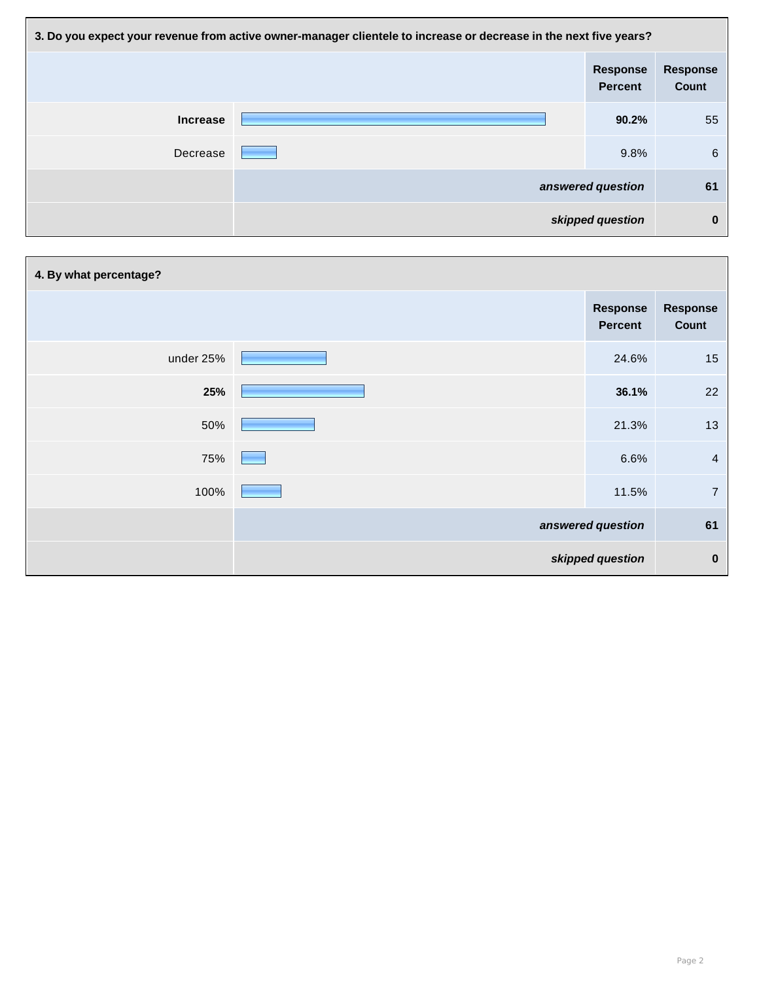| 3. Do you expect your revenue from active owner-manager clientele to increase or decrease in the next five years? |  |                                   |                                 |
|-------------------------------------------------------------------------------------------------------------------|--|-----------------------------------|---------------------------------|
|                                                                                                                   |  | <b>Response</b><br><b>Percent</b> | <b>Response</b><br><b>Count</b> |
| <b>Increase</b>                                                                                                   |  | 90.2%                             | 55                              |
| Decrease                                                                                                          |  | 9.8%                              | 6                               |
|                                                                                                                   |  | answered question                 | 61                              |
|                                                                                                                   |  | skipped question                  | $\bf{0}$                        |

| 4. By what percentage? |  |                                   |                          |
|------------------------|--|-----------------------------------|--------------------------|
|                        |  | <b>Response</b><br><b>Percent</b> | <b>Response</b><br>Count |
| under 25%              |  | 24.6%                             | 15                       |
| 25%                    |  | 36.1%                             | 22                       |
| 50%                    |  | 21.3%                             | 13                       |
| 75%                    |  | 6.6%                              | $\overline{4}$           |
| 100%                   |  | 11.5%                             | $\overline{7}$           |
|                        |  | answered question                 | 61                       |
|                        |  | skipped question                  | $\mathbf 0$              |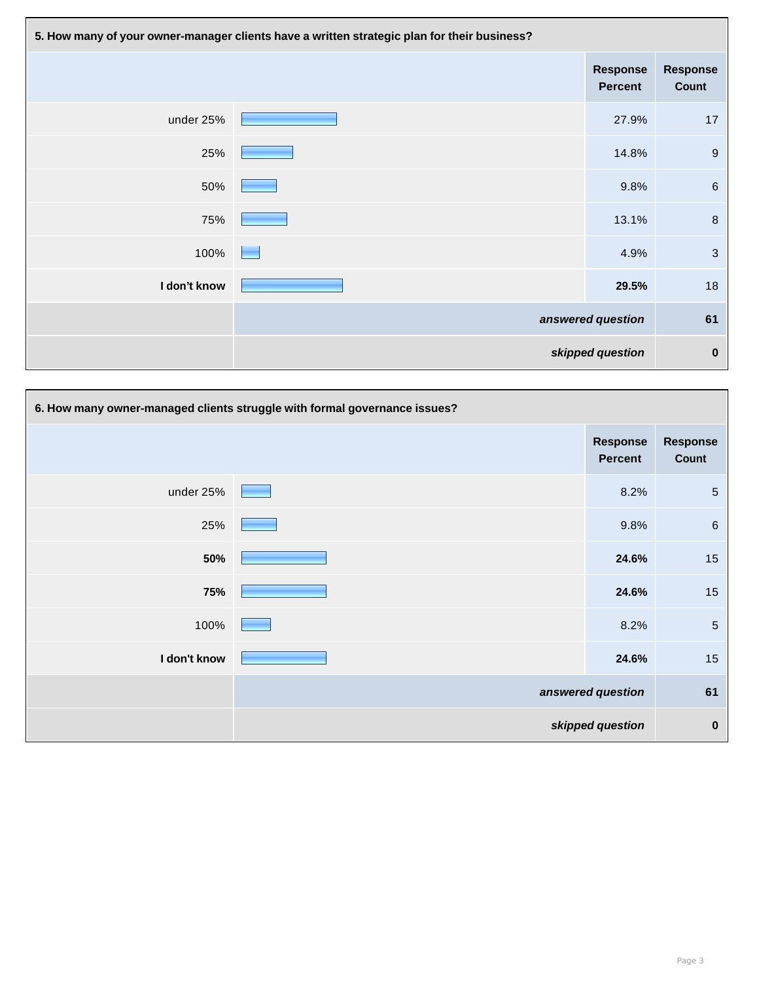| 5. How many of your owner-manager clients have a written strategic plan for their business? |  |                                   |                          |
|---------------------------------------------------------------------------------------------|--|-----------------------------------|--------------------------|
|                                                                                             |  | <b>Response</b><br><b>Percent</b> | <b>Response</b><br>Count |
| under 25%                                                                                   |  | 27.9%                             | 17                       |
| 25%                                                                                         |  | 14.8%                             | 9                        |
| 50%                                                                                         |  | 9.8%                              | $6\phantom{1}6$          |
| 75%                                                                                         |  | 13.1%                             | 8                        |
| 100%                                                                                        |  | 4.9%                              | $\mathbf{3}$             |
| I don't know                                                                                |  | 29.5%                             | 18                       |
|                                                                                             |  | answered question                 | 61                       |
|                                                                                             |  | skipped question                  | $\bf{0}$                 |

|              | 6. How many owner-managed clients struggle with formal governance issues? |                                   |                          |
|--------------|---------------------------------------------------------------------------|-----------------------------------|--------------------------|
|              |                                                                           | <b>Response</b><br><b>Percent</b> | <b>Response</b><br>Count |
| under 25%    |                                                                           | 8.2%                              | $\overline{5}$           |
| 25%          |                                                                           | 9.8%                              | $6\phantom{1}$           |
| 50%          |                                                                           | 24.6%                             | 15                       |
| 75%          |                                                                           | 24.6%                             | 15                       |
| 100%         |                                                                           | 8.2%                              | $\overline{5}$           |
| I don't know |                                                                           | 24.6%                             | 15                       |
|              |                                                                           | answered question                 | 61                       |
|              |                                                                           | skipped question                  | $\pmb{0}$                |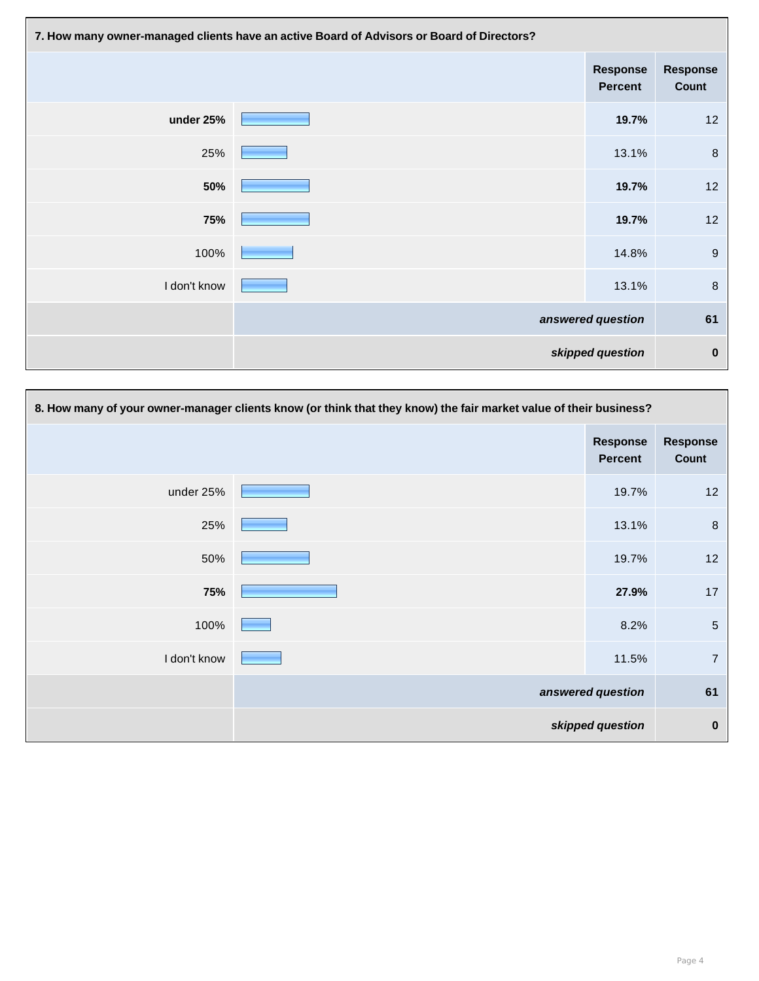| 7. How many owner-managed clients have an active Board of Advisors or Board of Directors? |  |                                   |                          |
|-------------------------------------------------------------------------------------------|--|-----------------------------------|--------------------------|
|                                                                                           |  | <b>Response</b><br><b>Percent</b> | <b>Response</b><br>Count |
| under 25%                                                                                 |  | 19.7%                             | 12                       |
| 25%                                                                                       |  | 13.1%                             | 8                        |
| 50%                                                                                       |  | 19.7%                             | 12                       |
| 75%                                                                                       |  | 19.7%                             | 12                       |
| 100%                                                                                      |  | 14.8%                             | $\boldsymbol{9}$         |
| I don't know                                                                              |  | 13.1%                             | $\,8\,$                  |
|                                                                                           |  | answered question                 | 61                       |
|                                                                                           |  | skipped question                  | $\boldsymbol{0}$         |

| 8. How many of your owner-manager clients know (or think that they know) the fair market value of their business? |  |                                   |                          |
|-------------------------------------------------------------------------------------------------------------------|--|-----------------------------------|--------------------------|
|                                                                                                                   |  | <b>Response</b><br><b>Percent</b> | <b>Response</b><br>Count |
| under 25%                                                                                                         |  | 19.7%                             | 12                       |
| 25%                                                                                                               |  | 13.1%                             | $\boldsymbol{8}$         |
| 50%                                                                                                               |  | 19.7%                             | 12                       |
| 75%                                                                                                               |  | 27.9%                             | 17                       |
| 100%                                                                                                              |  | 8.2%                              | $\sqrt{5}$               |
| I don't know                                                                                                      |  | 11.5%                             | $\overline{7}$           |
|                                                                                                                   |  | answered question                 | 61                       |
|                                                                                                                   |  | skipped question                  | $\bf{0}$                 |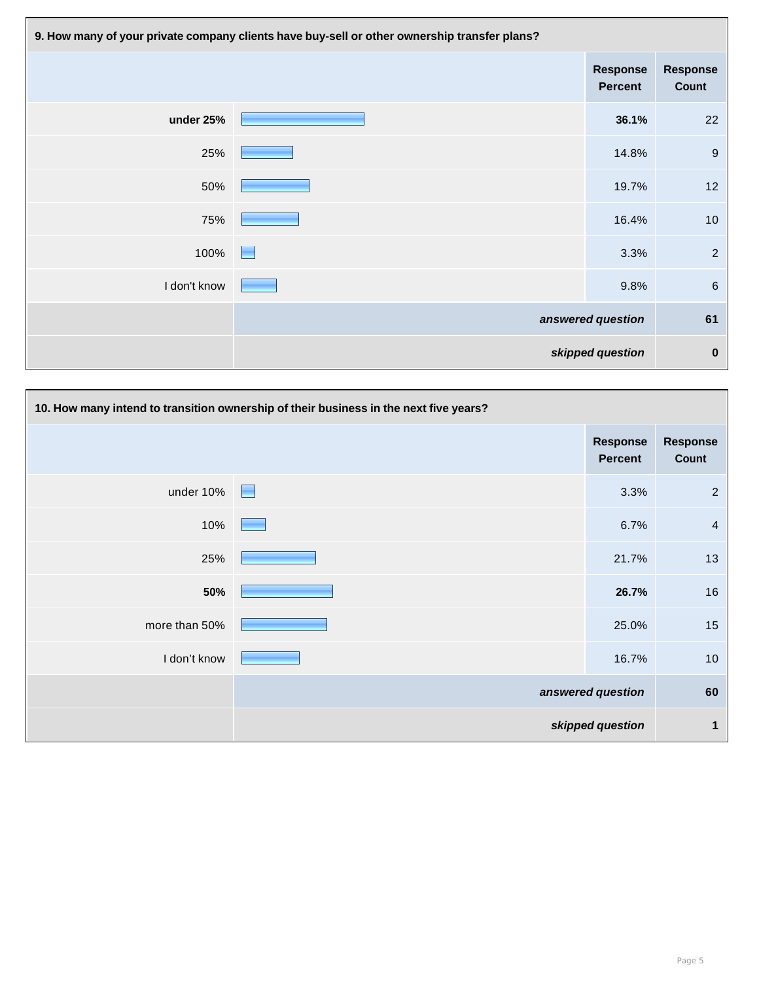| 9. How many of your private company clients have buy-sell or other ownership transfer plans? |                 |                                   |                          |
|----------------------------------------------------------------------------------------------|-----------------|-----------------------------------|--------------------------|
|                                                                                              |                 | <b>Response</b><br><b>Percent</b> | <b>Response</b><br>Count |
| under 25%                                                                                    |                 | 36.1%                             | 22                       |
| 25%                                                                                          |                 | 14.8%                             | $\boldsymbol{9}$         |
| 50%                                                                                          |                 | 19.7%                             | 12                       |
| 75%                                                                                          |                 | 16.4%                             | 10                       |
| 100%                                                                                         | <b>Contract</b> | 3.3%                              | $\overline{2}$           |
| I don't know                                                                                 |                 | 9.8%                              | $\,6\,$                  |
|                                                                                              |                 | answered question                 | 61                       |
|                                                                                              |                 | skipped question                  | $\bf{0}$                 |

| 10. How many intend to transition ownership of their business in the next five years? |  |                                   |                          |
|---------------------------------------------------------------------------------------|--|-----------------------------------|--------------------------|
|                                                                                       |  | <b>Response</b><br><b>Percent</b> | <b>Response</b><br>Count |
| under 10%                                                                             |  | 3.3%                              | $\overline{2}$           |
| 10%                                                                                   |  | 6.7%                              | $\overline{4}$           |
| 25%                                                                                   |  | 21.7%                             | 13                       |
| 50%                                                                                   |  | 26.7%                             | 16                       |
| more than 50%                                                                         |  | 25.0%                             | 15                       |
| I don't know                                                                          |  | 16.7%                             | 10                       |
|                                                                                       |  | answered question                 | 60                       |
|                                                                                       |  | skipped question                  | 1                        |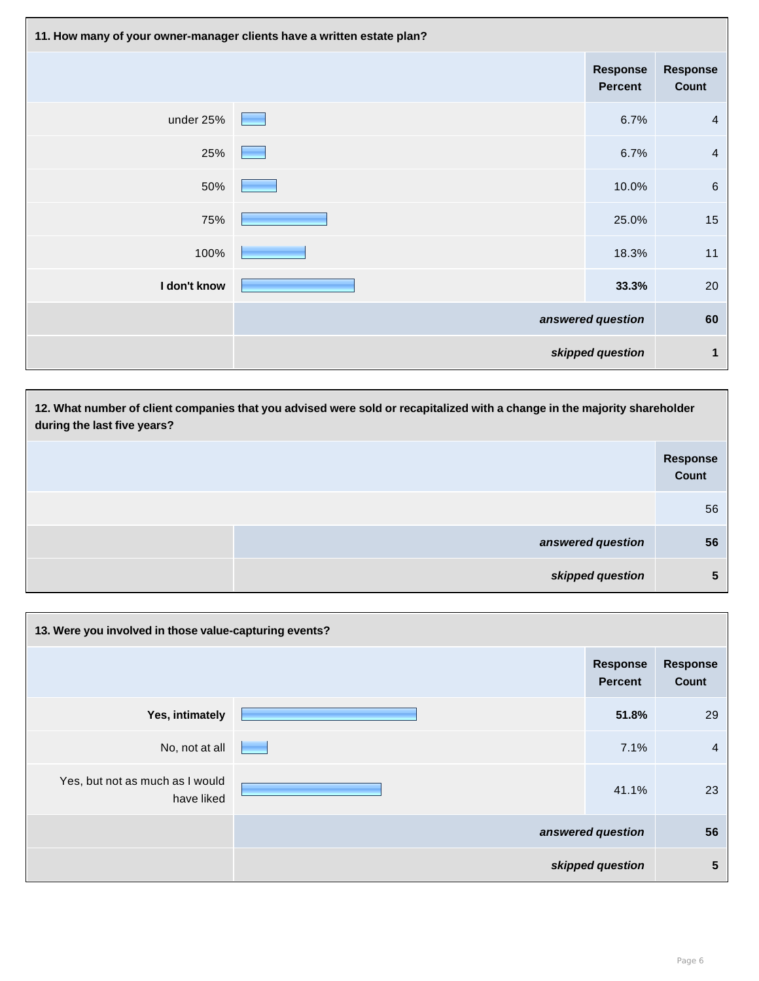| 11. How many of your owner-manager clients have a written estate plan? |  |                                   |                                 |
|------------------------------------------------------------------------|--|-----------------------------------|---------------------------------|
|                                                                        |  | <b>Response</b><br><b>Percent</b> | <b>Response</b><br><b>Count</b> |
| under 25%                                                              |  | 6.7%                              | $\overline{4}$                  |
| 25%                                                                    |  | 6.7%                              | $\overline{4}$                  |
| 50%                                                                    |  | 10.0%                             | $\,6\,$                         |
| 75%                                                                    |  | 25.0%                             | 15                              |
| 100%                                                                   |  | 18.3%                             | $11$                            |
| I don't know                                                           |  | 33.3%                             | 20                              |
|                                                                        |  | answered question                 | 60                              |
|                                                                        |  | skipped question                  | $\mathbf 1$                     |

| 12. What number of client companies that you advised were sold or recapitalized with a change in the majority shareholder<br>during the last five years? |                                 |  |
|----------------------------------------------------------------------------------------------------------------------------------------------------------|---------------------------------|--|
|                                                                                                                                                          | <b>Response</b><br><b>Count</b> |  |
|                                                                                                                                                          | 56                              |  |
| answered question                                                                                                                                        | 56                              |  |
| skipped question                                                                                                                                         | 5                               |  |

| 13. Were you involved in those value-capturing events? |  |                                   |                                 |  |
|--------------------------------------------------------|--|-----------------------------------|---------------------------------|--|
|                                                        |  | <b>Response</b><br><b>Percent</b> | <b>Response</b><br><b>Count</b> |  |
| Yes, intimately                                        |  | 51.8%                             | 29                              |  |
| No, not at all                                         |  | 7.1%                              | $\overline{4}$                  |  |
| Yes, but not as much as I would<br>have liked          |  | 41.1%                             | 23                              |  |
|                                                        |  | answered question                 | 56                              |  |
|                                                        |  | skipped question                  | 5                               |  |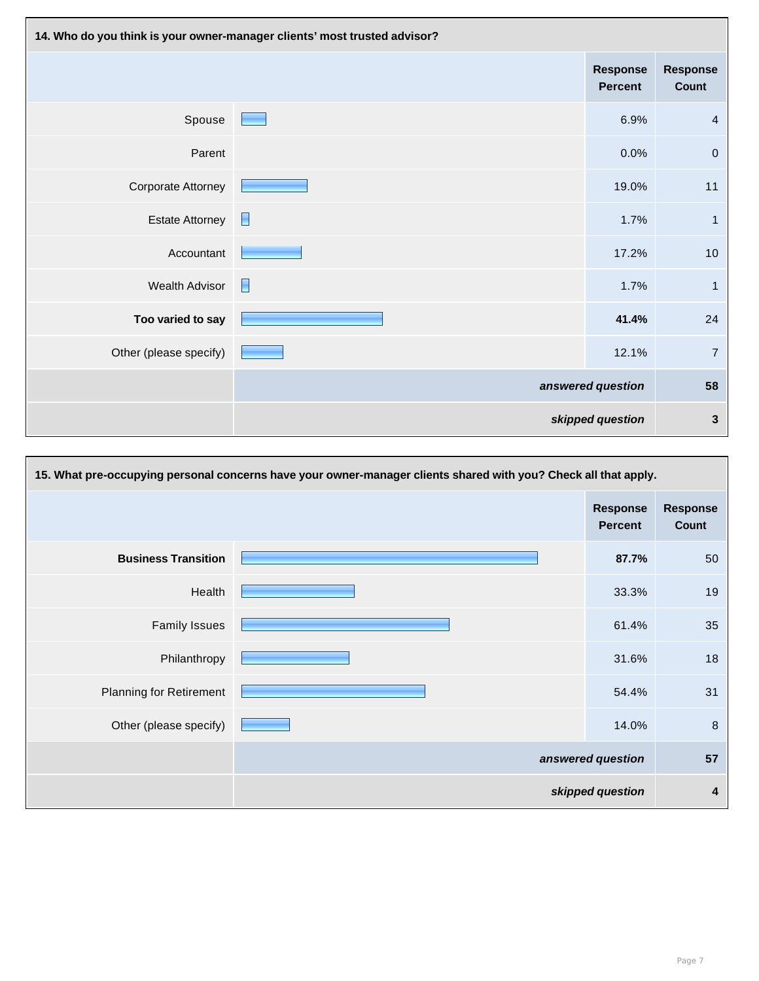| 14. Who do you think is your owner-manager clients' most trusted advisor? |                   |                                   |                                 |
|---------------------------------------------------------------------------|-------------------|-----------------------------------|---------------------------------|
|                                                                           |                   | <b>Response</b><br><b>Percent</b> | <b>Response</b><br><b>Count</b> |
| Spouse                                                                    | <b>Contract</b>   | 6.9%                              | $\overline{4}$                  |
| Parent                                                                    |                   | 0.0%                              | $\boldsymbol{0}$                |
| <b>Corporate Attorney</b>                                                 |                   | 19.0%                             | 11                              |
| <b>Estate Attorney</b>                                                    | E                 | 1.7%                              | $\mathbf{1}$                    |
| Accountant                                                                |                   | 17.2%                             | 10                              |
| <b>Wealth Advisor</b>                                                     | E                 | 1.7%                              | $\mathbf{1}$                    |
| Too varied to say                                                         |                   | 41.4%                             | 24                              |
| Other (please specify)                                                    |                   | 12.1%                             | $\overline{7}$                  |
|                                                                           | answered question |                                   | 58                              |
|                                                                           |                   | skipped question                  | $\mathbf{3}$                    |

| 15. What pre-occupying personal concerns have your owner-manager clients shared with you? Check all that apply. |                   |                                   |                          |  |
|-----------------------------------------------------------------------------------------------------------------|-------------------|-----------------------------------|--------------------------|--|
|                                                                                                                 |                   | <b>Response</b><br><b>Percent</b> | <b>Response</b><br>Count |  |
| <b>Business Transition</b>                                                                                      |                   | 87.7%                             | 50                       |  |
| Health                                                                                                          |                   | 33.3%                             | 19                       |  |
| <b>Family Issues</b>                                                                                            |                   | 61.4%                             | 35                       |  |
| Philanthropy                                                                                                    |                   | 31.6%                             | 18                       |  |
| <b>Planning for Retirement</b>                                                                                  |                   | 54.4%                             | 31                       |  |
| Other (please specify)                                                                                          |                   | 14.0%                             | $\boldsymbol{8}$         |  |
|                                                                                                                 | answered question |                                   | 57                       |  |
|                                                                                                                 |                   | skipped question                  | 4                        |  |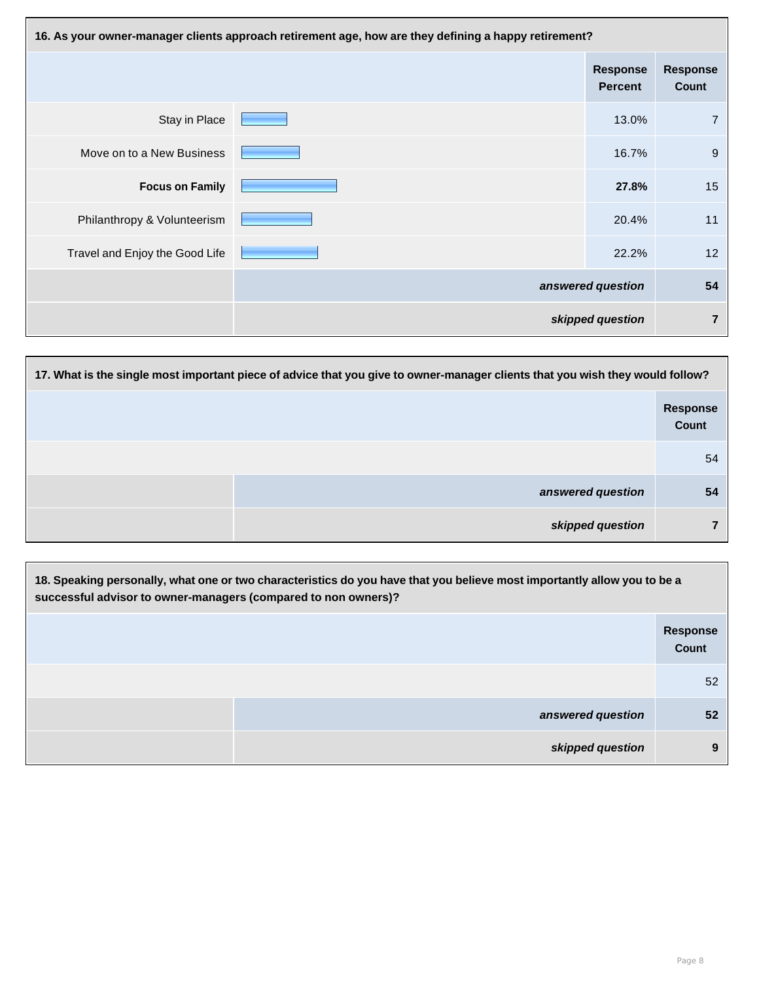| 16. As your owner-manager clients approach retirement age, how are they defining a happy retirement? |  |                                   |                                 |
|------------------------------------------------------------------------------------------------------|--|-----------------------------------|---------------------------------|
|                                                                                                      |  | <b>Response</b><br><b>Percent</b> | <b>Response</b><br><b>Count</b> |
| Stay in Place                                                                                        |  | 13.0%                             | $\overline{7}$                  |
| Move on to a New Business                                                                            |  | 16.7%                             | 9                               |
| <b>Focus on Family</b>                                                                               |  | 27.8%                             | 15                              |
| Philanthropy & Volunteerism                                                                          |  | 20.4%                             | 11                              |
| Travel and Enjoy the Good Life                                                                       |  | 22.2%                             | 12                              |
|                                                                                                      |  | answered question                 | 54                              |
|                                                                                                      |  | skipped question                  | $\overline{7}$                  |

| 17. What is the single most important piece of advice that you give to owner-manager clients that you wish they would follow? |                          |  |
|-------------------------------------------------------------------------------------------------------------------------------|--------------------------|--|
|                                                                                                                               | <b>Response</b><br>Count |  |
|                                                                                                                               | 54                       |  |
| answered question                                                                                                             | 54                       |  |
| skipped question                                                                                                              | ⇁                        |  |

| 18. Speaking personally, what one or two characteristics do you have that you believe most importantly allow you to be a<br>successful advisor to owner-managers (compared to non owners)? |                                 |  |
|--------------------------------------------------------------------------------------------------------------------------------------------------------------------------------------------|---------------------------------|--|
|                                                                                                                                                                                            | <b>Response</b><br><b>Count</b> |  |
|                                                                                                                                                                                            | 52                              |  |
| answered question                                                                                                                                                                          | 52                              |  |
| skipped question                                                                                                                                                                           | 9                               |  |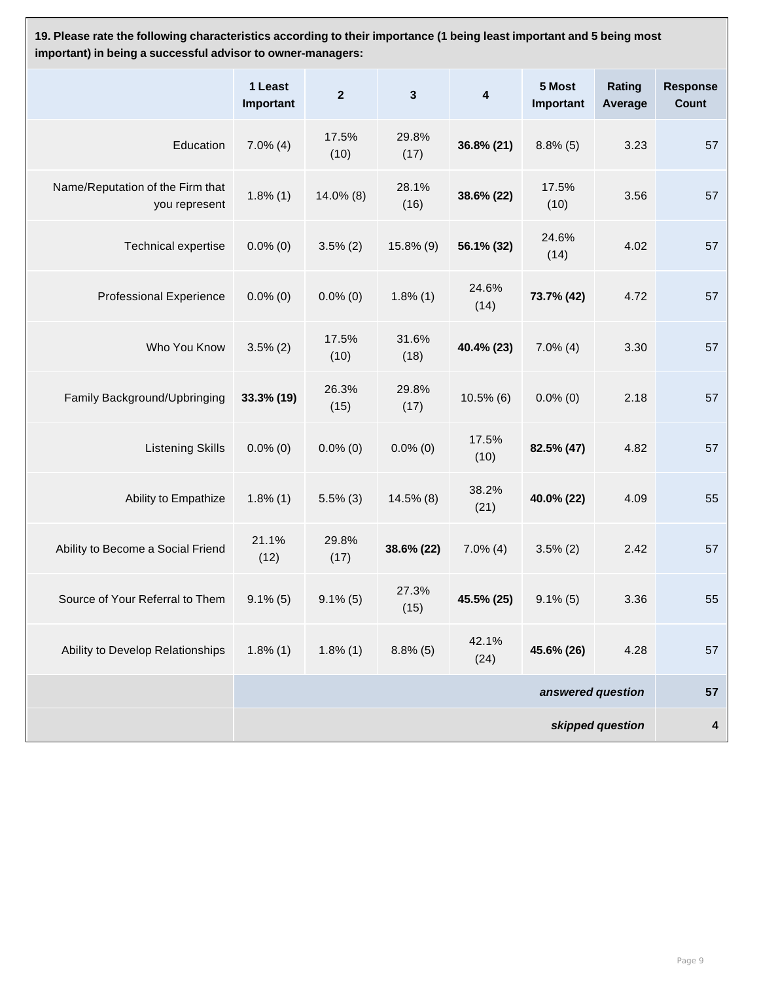**19. Please rate the following characteristics according to their importance (1 being least important and 5 being most important) in being a successful advisor to owner-managers:**

|                                                   | 1 Least<br>Important | $\overline{2}$ | $\mathbf{3}$  | $\overline{\mathbf{4}}$ | 5 Most<br>Important | Rating<br>Average | <b>Response</b><br><b>Count</b> |
|---------------------------------------------------|----------------------|----------------|---------------|-------------------------|---------------------|-------------------|---------------------------------|
| Education                                         | $7.0\%$ (4)          | 17.5%<br>(10)  | 29.8%<br>(17) | 36.8% (21)              | $8.8\%$ (5)         | 3.23              | 57                              |
| Name/Reputation of the Firm that<br>you represent | $1.8\%$ (1)          | $14.0\%$ (8)   | 28.1%<br>(16) | 38.6% (22)              | 17.5%<br>(10)       | 3.56              | 57                              |
| <b>Technical expertise</b>                        | $0.0\%$ (0)          | $3.5\%$ (2)    | $15.8\%$ (9)  | 56.1% (32)              | 24.6%<br>(14)       | 4.02              | 57                              |
| <b>Professional Experience</b>                    | $0.0\%$ (0)          | $0.0\%$ (0)    | $1.8\%$ (1)   | 24.6%<br>(14)           | 73.7% (42)          | 4.72              | 57                              |
| Who You Know                                      | $3.5\% (2)$          | 17.5%<br>(10)  | 31.6%<br>(18) | 40.4% (23)              | $7.0\%$ (4)         | 3.30              | 57                              |
| Family Background/Upbringing                      | 33.3% (19)           | 26.3%<br>(15)  | 29.8%<br>(17) | $10.5\%$ (6)            | $0.0\%$ (0)         | 2.18              | 57                              |
| <b>Listening Skills</b>                           | $0.0\%$ (0)          | $0.0\%$ (0)    | $0.0\%$ (0)   | 17.5%<br>(10)           | 82.5% (47)          | 4.82              | 57                              |
| Ability to Empathize                              | $1.8\%$ (1)          | $5.5\%$ (3)    | $14.5\%$ (8)  | 38.2%<br>(21)           | 40.0% (22)          | 4.09              | 55                              |
| Ability to Become a Social Friend                 | 21.1%<br>(12)        | 29.8%<br>(17)  | 38.6% (22)    | $7.0\%$ (4)             | $3.5\% (2)$         | 2.42              | 57                              |
| Source of Your Referral to Them                   | $9.1\%$ (5)          | $9.1\%$ (5)    | 27.3%<br>(15) | 45.5% (25)              | $9.1\%$ (5)         | 3.36              | 55                              |
| Ability to Develop Relationships                  | $1.8\%$ (1)          | $1.8\%$ (1)    | $8.8\%$ (5)   | 42.1%<br>(24)           | 45.6% (26)          | 4.28              | 57                              |
| answered question                                 |                      |                |               | 57                      |                     |                   |                                 |
| skipped question                                  |                      |                |               |                         | 4                   |                   |                                 |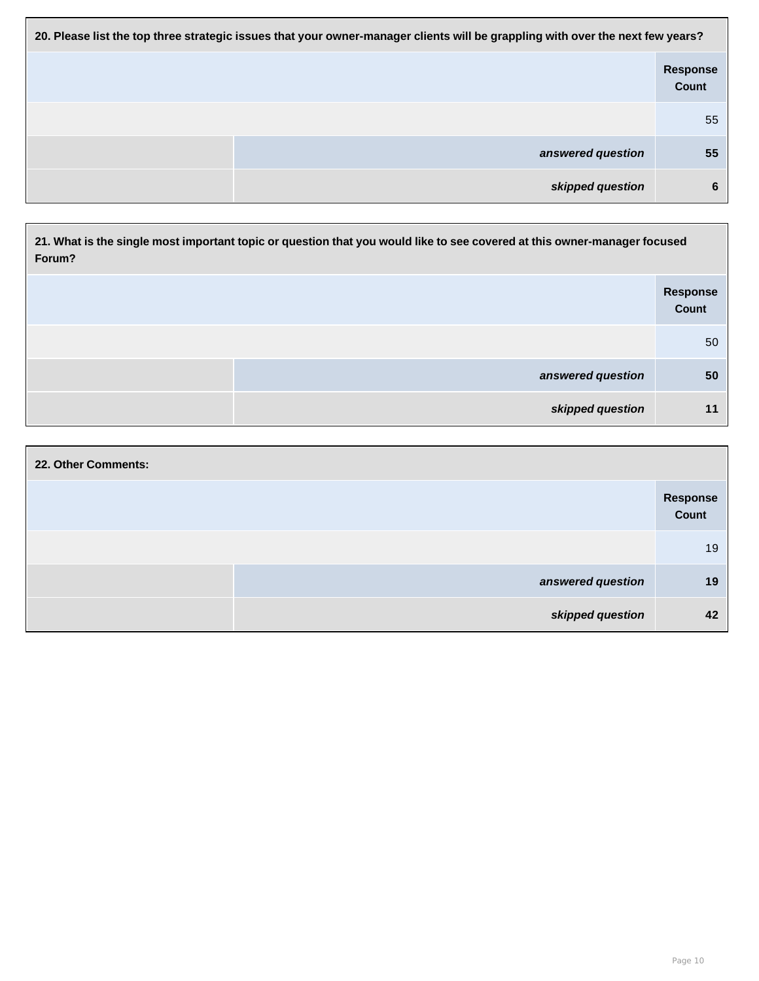| 20. Please list the top three strategic issues that your owner-manager clients will be grappling with over the next few years? |                          |  |
|--------------------------------------------------------------------------------------------------------------------------------|--------------------------|--|
|                                                                                                                                | <b>Response</b><br>Count |  |
|                                                                                                                                | 55                       |  |
| answered question                                                                                                              | 55                       |  |
| skipped question                                                                                                               | 6                        |  |

| 21. What is the single most important topic or question that you would like to see covered at this owner-manager focused<br>Forum? |                                 |  |
|------------------------------------------------------------------------------------------------------------------------------------|---------------------------------|--|
|                                                                                                                                    | <b>Response</b><br><b>Count</b> |  |
|                                                                                                                                    | 50                              |  |
| answered question                                                                                                                  | 50                              |  |
| skipped question                                                                                                                   | 11                              |  |

| 22. Other Comments: |                   |                   |
|---------------------|-------------------|-------------------|
|                     |                   | Response<br>Count |
|                     |                   | 19                |
|                     | answered question | 19                |
|                     | skipped question  | 42                |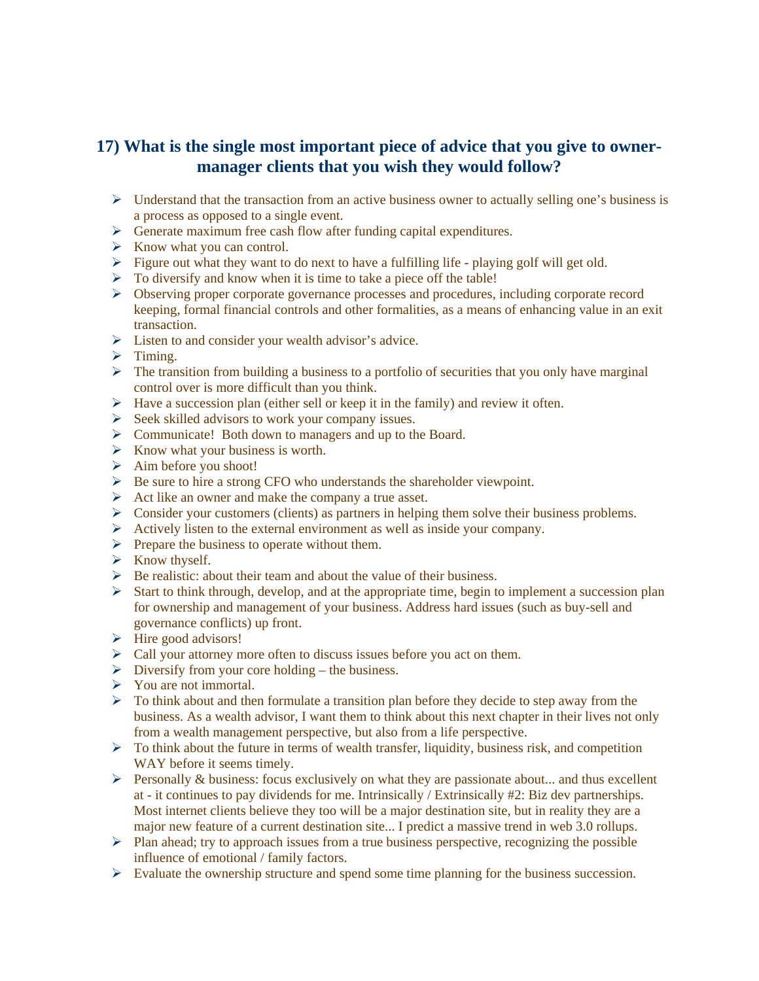## **17) What is the single most important piece of advice that you give to ownermanager clients that you wish they would follow?**

- $\triangleright$  Understand that the transaction from an active business owner to actually selling one's business is a process as opposed to a single event.
- $\triangleright$  Generate maximum free cash flow after funding capital expenditures.
- $\triangleright$  Know what you can control.
- $\triangleright$  Figure out what they want to do next to have a fulfilling life playing golf will get old.
- $\triangleright$  To diversify and know when it is time to take a piece off the table!
- ¾ Observing proper corporate governance processes and procedures, including corporate record keeping, formal financial controls and other formalities, as a means of enhancing value in an exit transaction.
- $\triangleright$  Listen to and consider your wealth advisor's advice.
- $\triangleright$  Timing.
- $\triangleright$  The transition from building a business to a portfolio of securities that you only have marginal control over is more difficult than you think.
- $\triangleright$  Have a succession plan (either sell or keep it in the family) and review it often.
- ¾ Seek skilled advisors to work your company issues.
- ¾ Communicate! Both down to managers and up to the Board.
- $\triangleright$  Know what your business is worth.
- $\triangleright$  Aim before you shoot!
- $\triangleright$  Be sure to hire a strong CFO who understands the shareholder viewpoint.
- $\triangleright$  Act like an owner and make the company a true asset.
- $\triangleright$  Consider your customers (clients) as partners in helping them solve their business problems.
- $\triangleright$  Actively listen to the external environment as well as inside your company.
- $\triangleright$  Prepare the business to operate without them.
- $\triangleright$  Know thyself.
- $\triangleright$  Be realistic: about their team and about the value of their business.
- $\triangleright$  Start to think through, develop, and at the appropriate time, begin to implement a succession plan for ownership and management of your business. Address hard issues (such as buy-sell and governance conflicts) up front.
- $\triangleright$  Hire good advisors!
- ¾ Call your attorney more often to discuss issues before you act on them.
- $\triangleright$  Diversify from your core holding the business.
- $\triangleright$  You are not immortal.
- $\triangleright$  To think about and then formulate a transition plan before they decide to step away from the business. As a wealth advisor, I want them to think about this next chapter in their lives not only from a wealth management perspective, but also from a life perspective.
- $\triangleright$  To think about the future in terms of wealth transfer, liquidity, business risk, and competition WAY before it seems timely.
- $\triangleright$  Personally & business: focus exclusively on what they are passionate about... and thus excellent at - it continues to pay dividends for me. Intrinsically / Extrinsically #2: Biz dev partnerships. Most internet clients believe they too will be a major destination site, but in reality they are a major new feature of a current destination site... I predict a massive trend in web 3.0 rollups.
- $\triangleright$  Plan ahead; try to approach issues from a true business perspective, recognizing the possible influence of emotional / family factors.
- $\triangleright$  Evaluate the ownership structure and spend some time planning for the business succession.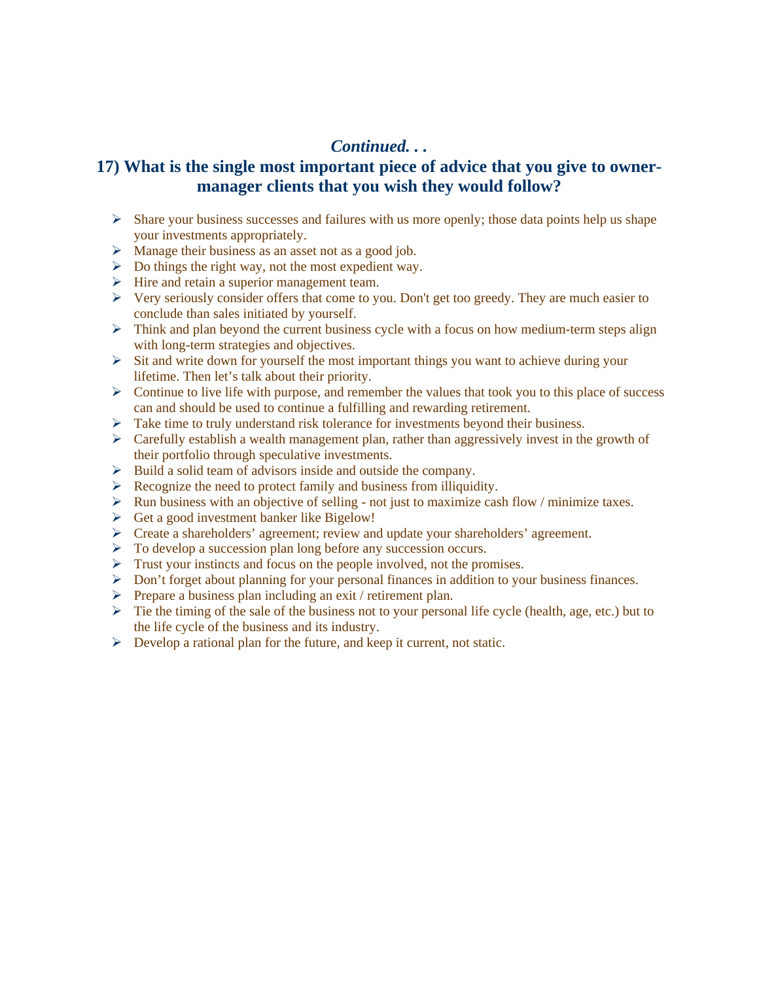#### *Continued. . .*

### **17) What is the single most important piece of advice that you give to ownermanager clients that you wish they would follow?**

- $\triangleright$  Share your business successes and failures with us more openly; those data points help us shape your investments appropriately.
- $\triangleright$  Manage their business as an asset not as a good job.
- $\triangleright$  Do things the right way, not the most expedient way.
- $\triangleright$  Hire and retain a superior management team.
- $\triangleright$  Very seriously consider offers that come to you. Don't get too greedy. They are much easier to conclude than sales initiated by yourself.
- $\triangleright$  Think and plan beyond the current business cycle with a focus on how medium-term steps align with long-term strategies and objectives.
- $\triangleright$  Sit and write down for yourself the most important things you want to achieve during your lifetime. Then let's talk about their priority.
- $\triangleright$  Continue to live life with purpose, and remember the values that took you to this place of success can and should be used to continue a fulfilling and rewarding retirement.
- ¾ Take time to truly understand risk tolerance for investments beyond their business.
- $\triangleright$  Carefully establish a wealth management plan, rather than aggressively invest in the growth of their portfolio through speculative investments.
- $\triangleright$  Build a solid team of advisors inside and outside the company.
- $\triangleright$  Recognize the need to protect family and business from illiquidity.
- $\triangleright$  Run business with an objective of selling not just to maximize cash flow / minimize taxes.
- $\triangleright$  Get a good investment banker like Bigelow!
- $\triangleright$  Create a shareholders' agreement; review and update your shareholders' agreement.
- ¾ To develop a succession plan long before any succession occurs.
- $\triangleright$  Trust your instincts and focus on the people involved, not the promises.
- ¾ Don't forget about planning for your personal finances in addition to your business finances.
- ¾ Prepare a business plan including an exit / retirement plan.
- $\triangleright$  Tie the timing of the sale of the business not to your personal life cycle (health, age, etc.) but to the life cycle of the business and its industry.
- $\triangleright$  Develop a rational plan for the future, and keep it current, not static.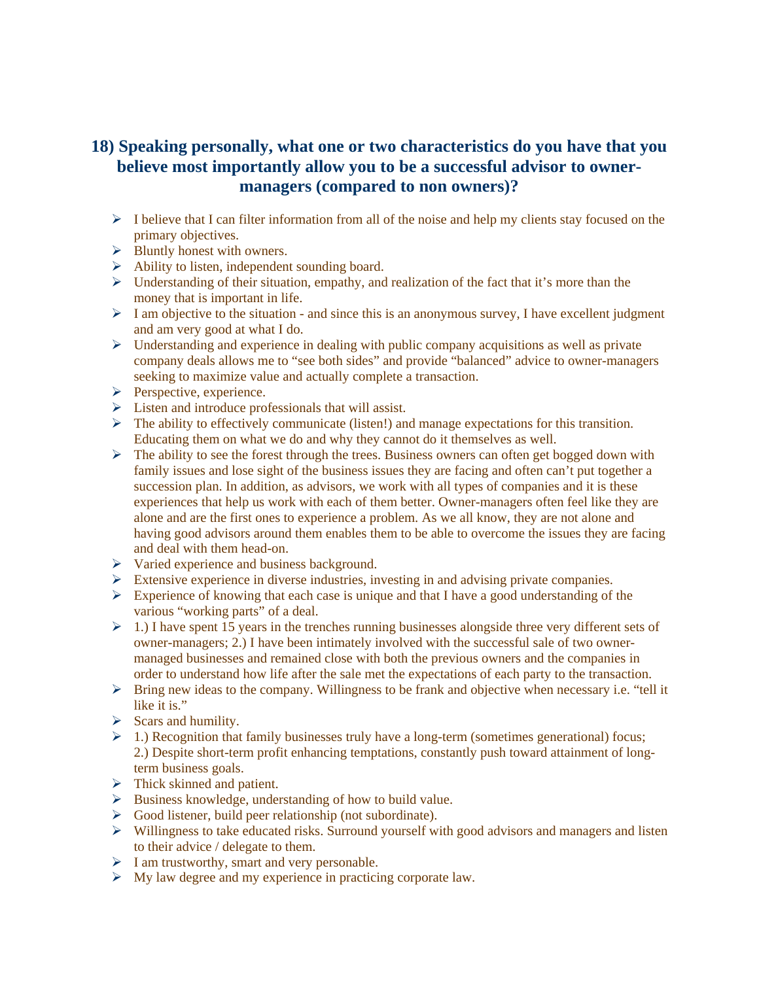# **18) Speaking personally, what one or two characteristics do you have that you believe most importantly allow you to be a successful advisor to ownermanagers (compared to non owners)?**

- $\triangleright$  I believe that I can filter information from all of the noise and help my clients stay focused on the primary objectives.
- $\triangleright$  Bluntly honest with owners.
- $\triangleright$  Ability to listen, independent sounding board.
- $\triangleright$  Understanding of their situation, empathy, and realization of the fact that it's more than the money that is important in life.
- $\triangleright$  I am objective to the situation and since this is an anonymous survey, I have excellent judgment and am very good at what I do.
- $\triangleright$  Understanding and experience in dealing with public company acquisitions as well as private company deals allows me to "see both sides" and provide "balanced" advice to owner-managers seeking to maximize value and actually complete a transaction.
- $\triangleright$  Perspective, experience.
- $\triangleright$  Listen and introduce professionals that will assist.
- $\triangleright$  The ability to effectively communicate (listen!) and manage expectations for this transition. Educating them on what we do and why they cannot do it themselves as well.
- ¾ The ability to see the forest through the trees. Business owners can often get bogged down with family issues and lose sight of the business issues they are facing and often can't put together a succession plan. In addition, as advisors, we work with all types of companies and it is these experiences that help us work with each of them better. Owner-managers often feel like they are alone and are the first ones to experience a problem. As we all know, they are not alone and having good advisors around them enables them to be able to overcome the issues they are facing and deal with them head-on.
- $\triangleright$  Varied experience and business background.
- $\triangleright$  Extensive experience in diverse industries, investing in and advising private companies.
- $\triangleright$  Experience of knowing that each case is unique and that I have a good understanding of the various "working parts" of a deal.
- $\geq 1$ .) I have spent 15 years in the trenches running businesses alongside three very different sets of owner-managers; 2.) I have been intimately involved with the successful sale of two ownermanaged businesses and remained close with both the previous owners and the companies in order to understand how life after the sale met the expectations of each party to the transaction.
- $\triangleright$  Bring new ideas to the company. Willingness to be frank and objective when necessary i.e. "tell it like it is."
- $\triangleright$  Scars and humility.
- $\geq 1$ .) Recognition that family businesses truly have a long-term (sometimes generational) focus; 2.) Despite short-term profit enhancing temptations, constantly push toward attainment of longterm business goals.
- $\triangleright$  Thick skinned and patient.
- $\triangleright$  Business knowledge, understanding of how to build value.
- $\triangleright$  Good listener, build peer relationship (not subordinate).
- ¾ Willingness to take educated risks. Surround yourself with good advisors and managers and listen to their advice / delegate to them.
- $\triangleright$  I am trustworthy, smart and very personable.
- $\triangleright$  My law degree and my experience in practicing corporate law.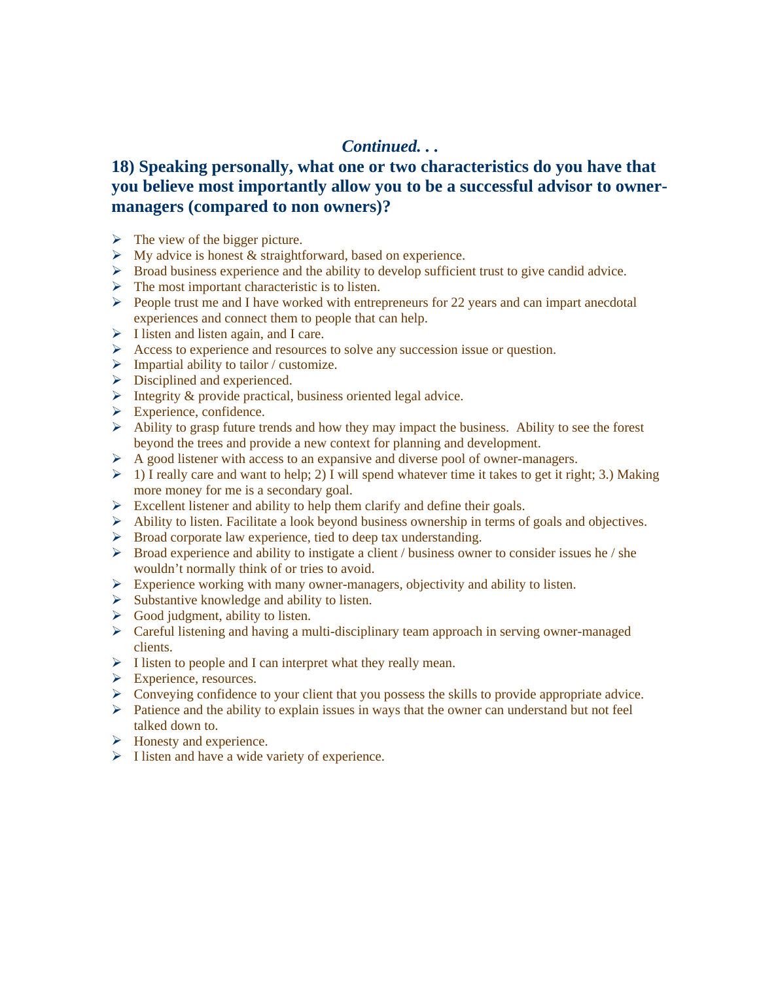### *Continued. . .*

## **18) Speaking personally, what one or two characteristics do you have that you believe most importantly allow you to be a successful advisor to ownermanagers (compared to non owners)?**

- $\triangleright$  The view of the bigger picture.
- $\triangleright$  My advice is honest & straightforward, based on experience.
- $\triangleright$  Broad business experience and the ability to develop sufficient trust to give candid advice.
- $\triangleright$  The most important characteristic is to listen.
- $\triangleright$  People trust me and I have worked with entrepreneurs for 22 years and can impart anecdotal experiences and connect them to people that can help.
- $\triangleright$  I listen and listen again, and I care.
- ¾ Access to experience and resources to solve any succession issue or question.
- $\triangleright$  Impartial ability to tailor / customize.
- $\triangleright$  Disciplined and experienced.
- $\triangleright$  Integrity & provide practical, business oriented legal advice.
- $\triangleright$  Experience, confidence.
- $\triangleright$  Ability to grasp future trends and how they may impact the business. Ability to see the forest beyond the trees and provide a new context for planning and development.
- $\triangleright$  A good listener with access to an expansive and diverse pool of owner-managers.
- $\geq 1$ ) I really care and want to help; 2) I will spend whatever time it takes to get it right; 3.) Making more money for me is a secondary goal.
- $\triangleright$  Excellent listener and ability to help them clarify and define their goals.
- $\triangleright$  Ability to listen. Facilitate a look beyond business ownership in terms of goals and objectives.
- ¾ Broad corporate law experience, tied to deep tax understanding.
- ¾ Broad experience and ability to instigate a client / business owner to consider issues he / she wouldn't normally think of or tries to avoid.
- $\triangleright$  Experience working with many owner-managers, objectivity and ability to listen.
- $\triangleright$  Substantive knowledge and ability to listen.
- $\triangleright$  Good judgment, ability to listen.
- $\triangleright$  Careful listening and having a multi-disciplinary team approach in serving owner-managed clients.
- $\triangleright$  I listen to people and I can interpret what they really mean.
- $\triangleright$  Experience, resources.
- ¾ Conveying confidence to your client that you possess the skills to provide appropriate advice.
- $\triangleright$  Patience and the ability to explain issues in ways that the owner can understand but not feel talked down to.
- $\triangleright$  Honesty and experience.
- $\triangleright$  I listen and have a wide variety of experience.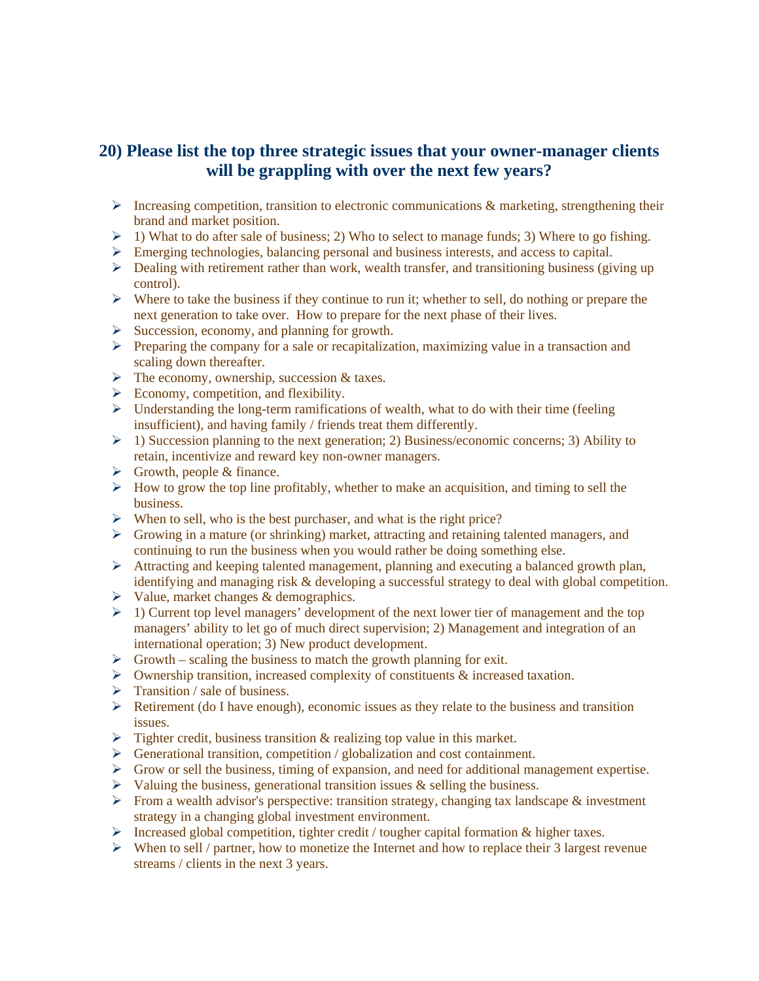### **20) Please list the top three strategic issues that your owner-manager clients will be grappling with over the next few years?**

- $\triangleright$  Increasing competition, transition to electronic communications & marketing, strengthening their brand and market position.
- $\geq 1$ ) What to do after sale of business; 2) Who to select to manage funds; 3) Where to go fishing.
- $\triangleright$  Emerging technologies, balancing personal and business interests, and access to capital.
- $\triangleright$  Dealing with retirement rather than work, wealth transfer, and transitioning business (giving up control).
- $\triangleright$  Where to take the business if they continue to run it; whether to sell, do nothing or prepare the next generation to take over. How to prepare for the next phase of their lives.
- $\triangleright$  Succession, economy, and planning for growth.
- $\triangleright$  Preparing the company for a sale or recapitalization, maximizing value in a transaction and scaling down thereafter.
- $\triangleright$  The economy, ownership, succession & taxes.
- $\triangleright$  Economy, competition, and flexibility.
- $\triangleright$  Understanding the long-term ramifications of wealth, what to do with their time (feeling) insufficient), and having family / friends treat them differently.
- $\geq 1$ ) Succession planning to the next generation; 2) Business/economic concerns; 3) Ability to retain, incentivize and reward key non-owner managers.
- $\triangleright$  Growth, people & finance.
- $\triangleright$  How to grow the top line profitably, whether to make an acquisition, and timing to sell the business.
- $\triangleright$  When to sell, who is the best purchaser, and what is the right price?
- $\triangleright$  Growing in a mature (or shrinking) market, attracting and retaining talented managers, and continuing to run the business when you would rather be doing something else.
- ¾ Attracting and keeping talented management, planning and executing a balanced growth plan, identifying and managing risk & developing a successful strategy to deal with global competition.
- $\triangleright$  Value, market changes & demographics.
- $\geq 1$ ) Current top level managers' development of the next lower tier of management and the top managers' ability to let go of much direct supervision; 2) Management and integration of an international operation; 3) New product development.
- $\triangleright$  Growth scaling the business to match the growth planning for exit.
- $\triangleright$  Ownership transition, increased complexity of constituents & increased taxation.
- $\triangleright$  Transition / sale of business.
- $\triangleright$  Retirement (do I have enough), economic issues as they relate to the business and transition issues.
- $\triangleright$  Tighter credit, business transition & realizing top value in this market.
- $\triangleright$  Generational transition, competition / globalization and cost containment.
- ¾ Grow or sell the business, timing of expansion, and need for additional management expertise.
- $\triangleright$  Valuing the business, generational transition issues & selling the business.
- $\triangleright$  From a wealth advisor's perspective: transition strategy, changing tax landscape & investment strategy in a changing global investment environment.
- ¾ Increased global competition, tighter credit / tougher capital formation & higher taxes.
- $\triangleright$  When to sell / partner, how to monetize the Internet and how to replace their 3 largest revenue streams / clients in the next 3 years.